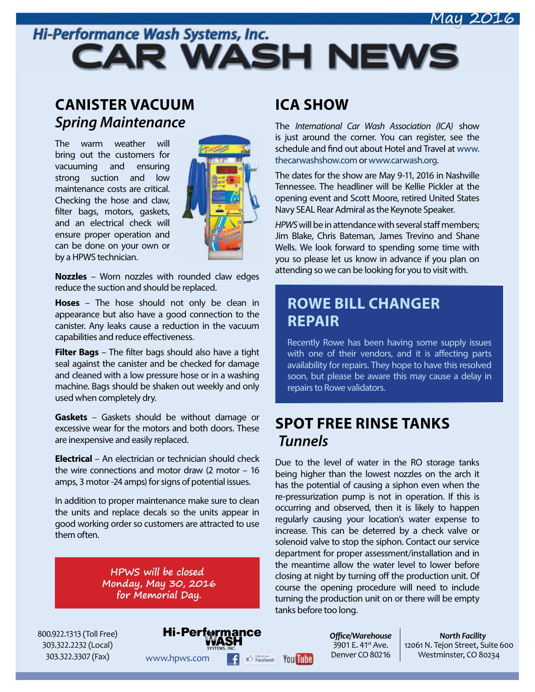#### May 2016

# Hi-Performance Wash Systems, Inc. **CAR WASH NEWS**

### **CANISTER VACUUM**  *Spring Maintenance*

The warm weather will bring out the customers for vacuuming and ensuring strong suction and low maintenance costs are critical. Checking the hose and claw, filter bags, motors, gaskets, and an electrical check will ensure proper operation and can be done on your own or by a HPWS technician.



**Nozzles** – Worn nozzles with rounded claw edges reduce the suction and should be replaced.

**Hoses** – The hose should not only be clean in appearance but also have a good connection to the canister. Any leaks cause a reduction in the vacuum capabilities and reduce effectiveness.

**Filter Bags** – The filter bags should also have a tight seal against the canister and be checked for damage and cleaned with a low pressure hose or in a washing machine. Bags should be shaken out weekly and only used when completely dry.

**Gaskets** – Gaskets should be without damage or excessive wear for the motors and both doors. These are inexpensive and easily replaced.

**Electrical** – An electrician or technician should check the wire connections and motor draw (2 motor – 16 amps, 3 motor -24 amps) for signs of potential issues.

In addition to proper maintenance make sure to clean the units and replace decals so the units appear in good working order so customers are attracted to use them often.

> **HPWS will be closed Monday, May 30, 2016 for Memorial Day.**

### **ICA SHOW**

The *International Car Wash Association (ICA)* show is just around the corner. You can register, see the schedule and find out about Hotel and Travel at [www.](http://www.thecarwashshow.com) [thecarwashshow.com](http://www.thecarwashshow.com) or [www.carwash.org](http://www.carwash.org).

The dates for the show are May 9-11, 2016 in Nashville Tennessee. The headliner will be Kellie Pickler at the opening event and Scott Moore, retired United States Navy SEAL Rear Admiral as the Keynote Speaker.

*HPWS* will be in attendance with several staff members; Jim Blake, Chris Bateman, James Trevino and Shane Wells. We look forward to spending some time with you so please let us know in advance if you plan on attending so we can be looking for you to visit with.

### **ROWE BILL CHANGER REPAIR**

Recently Rowe has been having some supply issues with one of their vendors, and it is affecting parts availability for repairs. They hope to have this resolved soon, but please be aware this may cause a delay in repairs to Rowe validators.

### **SPOT FREE RINSE TANKS** *Tunnels*

Due to the level of water in the RO storage tanks being higher than the lowest nozzles on the arch it has the potential of causing a siphon even when the re-pressurization pump is not in operation. If this is occurring and observed, then it is likely to happen regularly causing your location's water expense to increase. This can be deterred by a check valve or solenoid valve to stop the siphon. Contact our service department for proper assessment/installation and in the meantime allow the water level to lower before closing at night by turning off the production unit. Of course the opening procedure will need to include turning the production unit on or there will be empty tanks before too long.

800.922.1313 (Toll Free) 303.322.2232 (Local) 303.322.3307 (Fax)

Hi-Perform ance

*Offi ce/Warehouse*  $3901$  E.  $41^{st}$  Ave. Denver CO 80216

*North Facility* 12061 N. Tejon Street, Suite 600 WWW.hpws.com **F**  $\bigoplus$  Excebook You **Tube** Denver CO 80216 Westminster, CO 80234